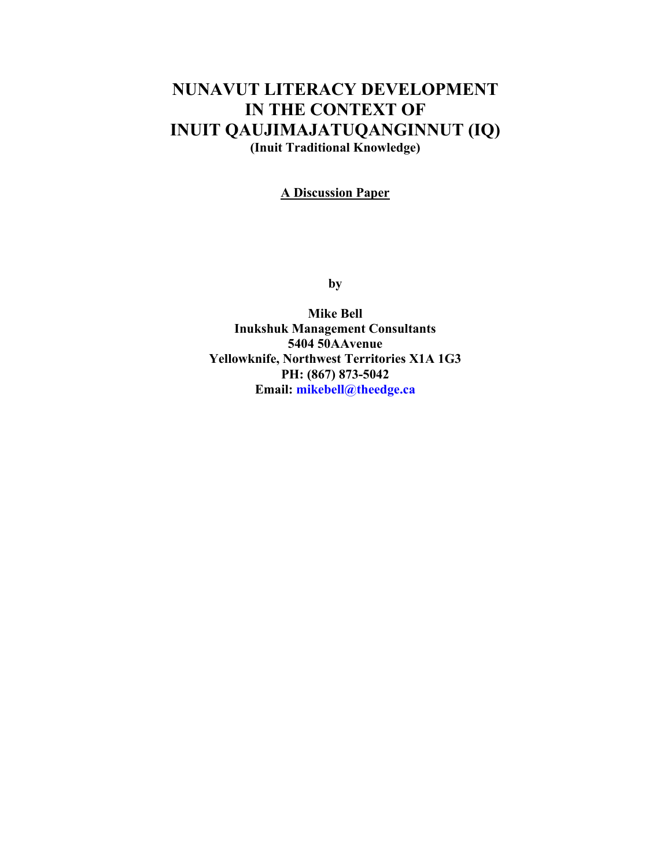# **NUNAVUT LITERACY DEVELOPMENT IN THE CONTEXT OF INUIT QAUJIMAJATUQANGINNUT (IQ) (Inuit Traditional Knowledge)**

#### **A Discussion Paper**

**by** 

**Mike Bell Inukshuk Management Consultants 5404 50AAvenue Yellowknife, Northwest Territories X1A 1G3 PH: (867) 873-5042 Email: [mikebell@theedge.ca](mailto:mikebell@theedge.ca)**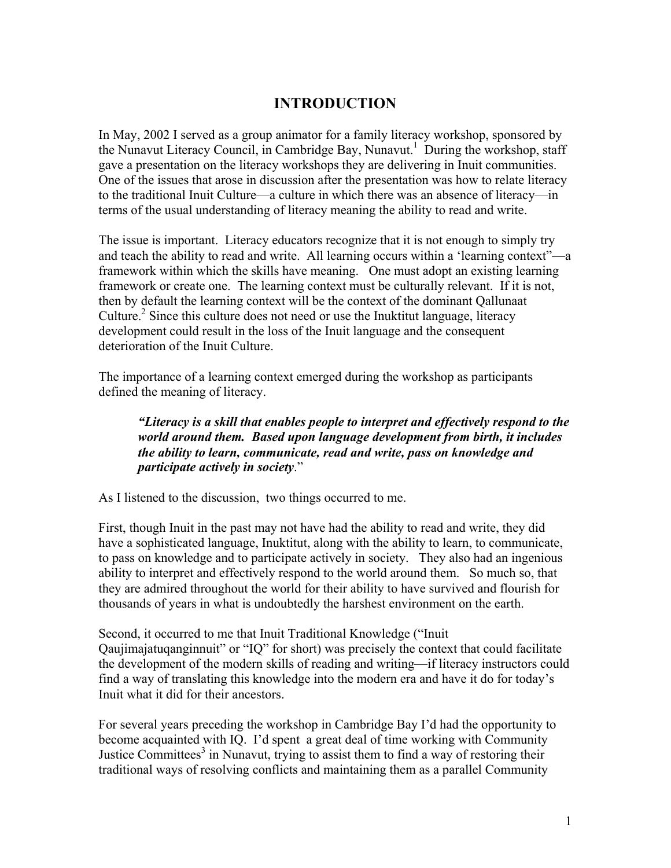### **INTRODUCTION**

In May, 2002 I served as a group animator for a family literacy workshop, sponsored by the Nunavut Literacy Council, in Cambridge Bay, Nunavut.<sup>1</sup> During the workshop, staff gave a presentation on the literacy workshops they are delivering in Inuit communities. One of the issues that arose in discussion after the presentation was how to relate literacy to the traditional Inuit Culture—a culture in which there was an absence of literacy—in terms of the usual understanding of literacy meaning the ability to read and write.

The issue is important. Literacy educators recognize that it is not enough to simply try and teach the ability to read and write. All learning occurs within a 'learning context"—a framework within which the skills have meaning. One must adopt an existing learning framework or create one. The learning context must be culturally relevant. If it is not, then by default the learning context will be the context of the dominant Qallunaat Culture.<sup>2</sup> Since this culture does not need or use the Inuktitut language, literacy development could result in the loss of the Inuit language and the consequent deterioration of the Inuit Culture.

The importance of a learning context emerged during the workshop as participants defined the meaning of literacy.

*"Literacy is a skill that enables people to interpret and effectively respond to the world around them. Based upon language development from birth, it includes the ability to learn, communicate, read and write, pass on knowledge and participate actively in society*."

As I listened to the discussion, two things occurred to me.

First, though Inuit in the past may not have had the ability to read and write, they did have a sophisticated language, Inuktitut, along with the ability to learn, to communicate, to pass on knowledge and to participate actively in society. They also had an ingenious ability to interpret and effectively respond to the world around them. So much so, that they are admired throughout the world for their ability to have survived and flourish for thousands of years in what is undoubtedly the harshest environment on the earth.

Second, it occurred to me that Inuit Traditional Knowledge ("Inuit Qaujimajatuqanginnuit" or "IQ" for short) was precisely the context that could facilitate the development of the modern skills of reading and writing—if literacy instructors could find a way of translating this knowledge into the modern era and have it do for today's Inuit what it did for their ancestors.

For several years preceding the workshop in Cambridge Bay I'd had the opportunity to become acquainted with IQ. I'd spent a great deal of time working with Community Justice Committees<sup>3</sup> in Nunavut, trying to assist them to find a way of restoring their traditional ways of resolving conflicts and maintaining them as a parallel Community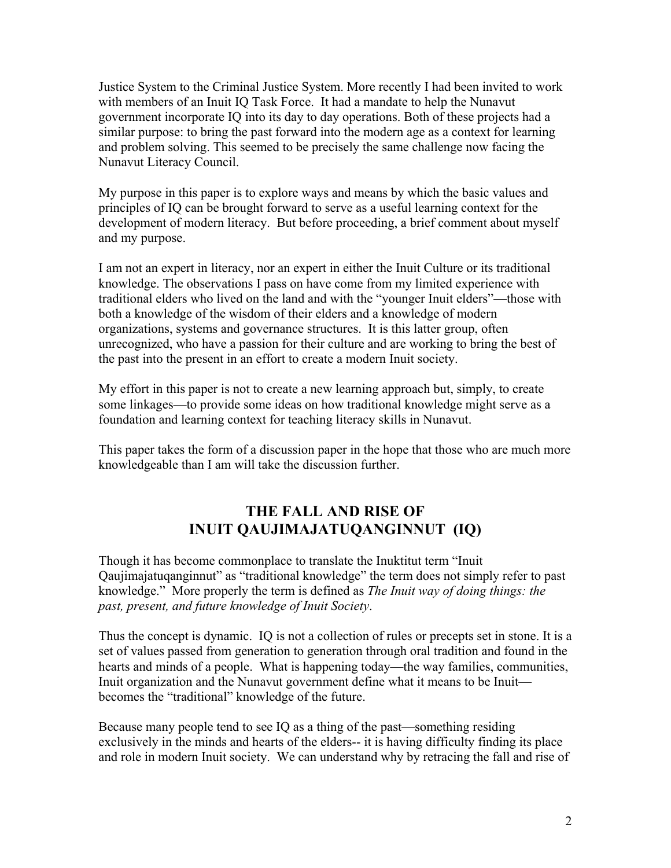Justice System to the Criminal Justice System. More recently I had been invited to work with members of an Inuit IQ Task Force. It had a mandate to help the Nunavut government incorporate IQ into its day to day operations. Both of these projects had a similar purpose: to bring the past forward into the modern age as a context for learning and problem solving. This seemed to be precisely the same challenge now facing the Nunavut Literacy Council.

My purpose in this paper is to explore ways and means by which the basic values and principles of IQ can be brought forward to serve as a useful learning context for the development of modern literacy. But before proceeding, a brief comment about myself and my purpose.

I am not an expert in literacy, nor an expert in either the Inuit Culture or its traditional knowledge. The observations I pass on have come from my limited experience with traditional elders who lived on the land and with the "younger Inuit elders"—those with both a knowledge of the wisdom of their elders and a knowledge of modern organizations, systems and governance structures. It is this latter group, often unrecognized, who have a passion for their culture and are working to bring the best of the past into the present in an effort to create a modern Inuit society.

My effort in this paper is not to create a new learning approach but, simply, to create some linkages—to provide some ideas on how traditional knowledge might serve as a foundation and learning context for teaching literacy skills in Nunavut.

This paper takes the form of a discussion paper in the hope that those who are much more knowledgeable than I am will take the discussion further.

## **THE FALL AND RISE OF INUIT QAUJIMAJATUQANGINNUT (IQ)**

Though it has become commonplace to translate the Inuktitut term "Inuit Qaujimajatuqanginnut" as "traditional knowledge" the term does not simply refer to past knowledge." More properly the term is defined as *The Inuit way of doing things: the past, present, and future knowledge of Inuit Society*.

Thus the concept is dynamic. IQ is not a collection of rules or precepts set in stone. It is a set of values passed from generation to generation through oral tradition and found in the hearts and minds of a people. What is happening today—the way families, communities, Inuit organization and the Nunavut government define what it means to be Inuit becomes the "traditional" knowledge of the future.

Because many people tend to see IQ as a thing of the past—something residing exclusively in the minds and hearts of the elders-- it is having difficulty finding its place and role in modern Inuit society. We can understand why by retracing the fall and rise of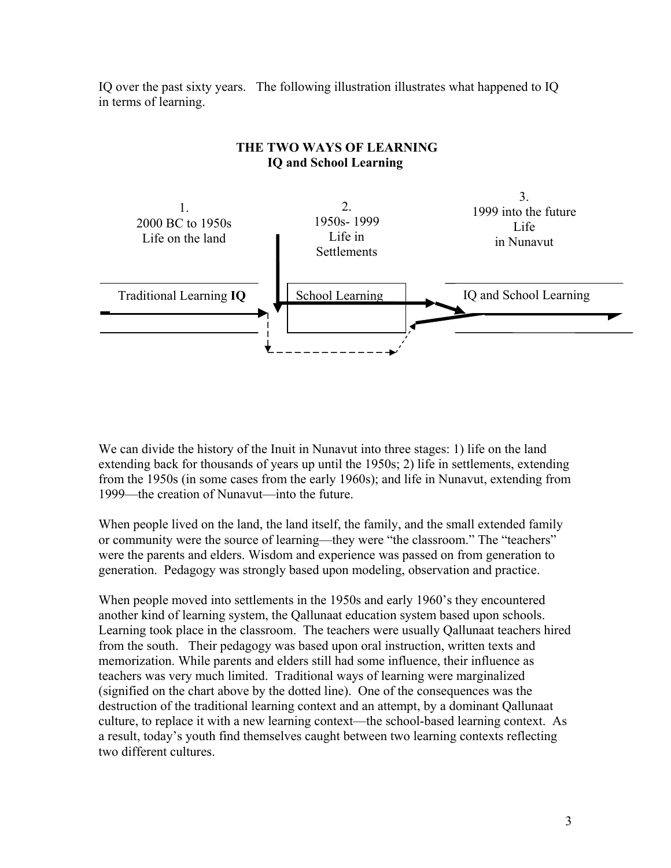IQ over the past sixty years. The following illustration illustrates what happened to IQ in terms of learning.



#### **THE TWO WAYS OF LEARNING IQ and School Learning**

We can divide the history of the Inuit in Nunavut into three stages: 1) life on the land extending back for thousands of years up until the 1950s; 2) life in settlements, extending from the 1950s (in some cases from the early 1960s); and life in Nunavut, extending from 1999—the creation of Nunavut—into the future.

When people lived on the land, the land itself, the family, and the small extended family or community were the source of learning—they were "the classroom." The "teachers" were the parents and elders. Wisdom and experience was passed on from generation to generation. Pedagogy was strongly based upon modeling, observation and practice.

When people moved into settlements in the 1950s and early 1960's they encountered another kind of learning system, the Qallunaat education system based upon schools. Learning took place in the classroom. The teachers were usually Qallunaat teachers hired from the south. Their pedagogy was based upon oral instruction, written texts and memorization. While parents and elders still had some influence, their influence as teachers was very much limited. Traditional ways of learning were marginalized (signified on the chart above by the dotted line). One of the consequences was the destruction of the traditional learning context and an attempt, by a dominant Qallunaat culture, to replace it with a new learning context—the school-based learning context. As a result, today's youth find themselves caught between two learning contexts reflecting two different cultures.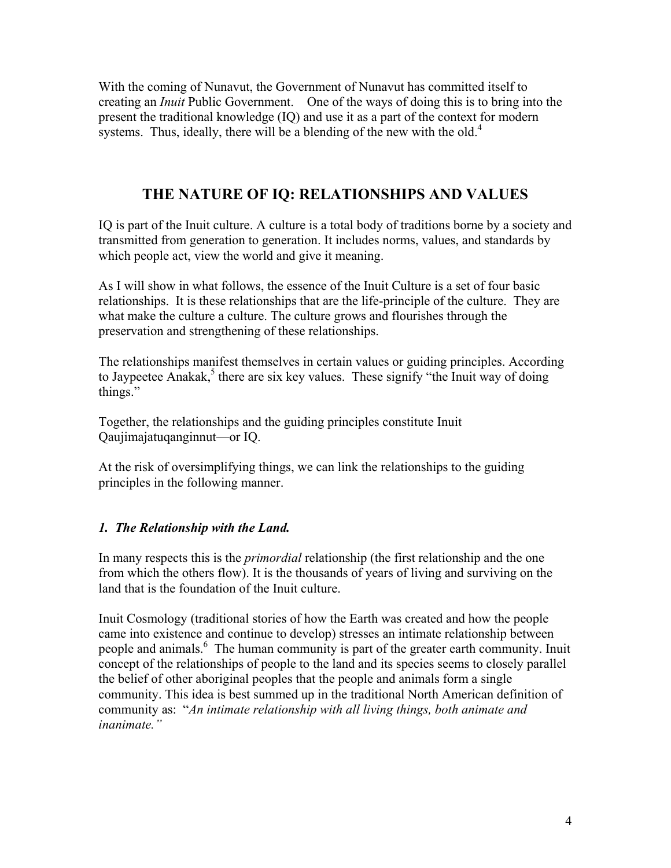With the coming of Nunavut, the Government of Nunavut has committed itself to creating an *Inuit* Public Government. One of the ways of doing this is to bring into the present the traditional knowledge (IQ) and use it as a part of the context for modern systems. Thus, ideally, there will be a blending of the new with the old. $4$ 

## **THE NATURE OF IQ: RELATIONSHIPS AND VALUES**

IQ is part of the Inuit culture. A culture is a total body of traditions borne by a society and transmitted from generation to generation. It includes norms, values, and standards by which people act, view the world and give it meaning.

As I will show in what follows, the essence of the Inuit Culture is a set of four basic relationships. It is these relationships that are the life-principle of the culture. They are what make the culture a culture. The culture grows and flourishes through the preservation and strengthening of these relationships.

The relationships manifest themselves in certain values or guiding principles. According to Jaypeetee Anakak,<sup>5</sup> there are six key values. These signify "the Inuit way of doing things."

Together, the relationships and the guiding principles constitute Inuit Qaujimajatuqanginnut—or IQ.

At the risk of oversimplifying things, we can link the relationships to the guiding principles in the following manner.

#### *1. The Relationship with the Land.*

In many respects this is the *primordial* relationship (the first relationship and the one from which the others flow). It is the thousands of years of living and surviving on the land that is the foundation of the Inuit culture.

Inuit Cosmology (traditional stories of how the Earth was created and how the people came into existence and continue to develop) stresses an intimate relationship between people and animals.<sup>6</sup> The human community is part of the greater earth community. Inuit concept of the relationships of people to the land and its species seems to closely parallel the belief of other aboriginal peoples that the people and animals form a single community. This idea is best summed up in the traditional North American definition of community as: "*An intimate relationship with all living things, both animate and inanimate."*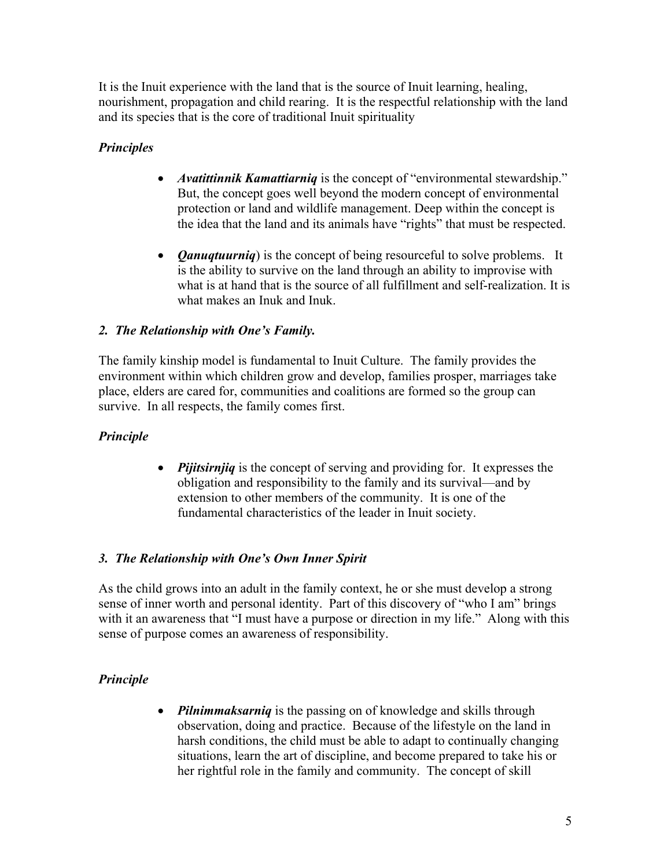It is the Inuit experience with the land that is the source of Inuit learning, healing, nourishment, propagation and child rearing. It is the respectful relationship with the land and its species that is the core of traditional Inuit spirituality

### *Principles*

- *Avatittinnik Kamattiarniq* is the concept of "environmental stewardship." But, the concept goes well beyond the modern concept of environmental protection or land and wildlife management. Deep within the concept is the idea that the land and its animals have "rights" that must be respected.
- *Qanuqtuurniq*) is the concept of being resourceful to solve problems. It is the ability to survive on the land through an ability to improvise with what is at hand that is the source of all fulfillment and self-realization. It is what makes an Inuk and Inuk.

### *2. The Relationship with One's Family.*

The family kinship model is fundamental to Inuit Culture. The family provides the environment within which children grow and develop, families prosper, marriages take place, elders are cared for, communities and coalitions are formed so the group can survive. In all respects, the family comes first.

### *Principle*

• *Pijitsirnjiq* is the concept of serving and providing for. It expresses the obligation and responsibility to the family and its survival—and by extension to other members of the community. It is one of the fundamental characteristics of the leader in Inuit society.

### *3. The Relationship with One's Own Inner Spirit*

As the child grows into an adult in the family context, he or she must develop a strong sense of inner worth and personal identity. Part of this discovery of "who I am" brings with it an awareness that "I must have a purpose or direction in my life." Along with this sense of purpose comes an awareness of responsibility.

### *Principle*

• *Pilnimmaksarniq* is the passing on of knowledge and skills through observation, doing and practice. Because of the lifestyle on the land in harsh conditions, the child must be able to adapt to continually changing situations, learn the art of discipline, and become prepared to take his or her rightful role in the family and community. The concept of skill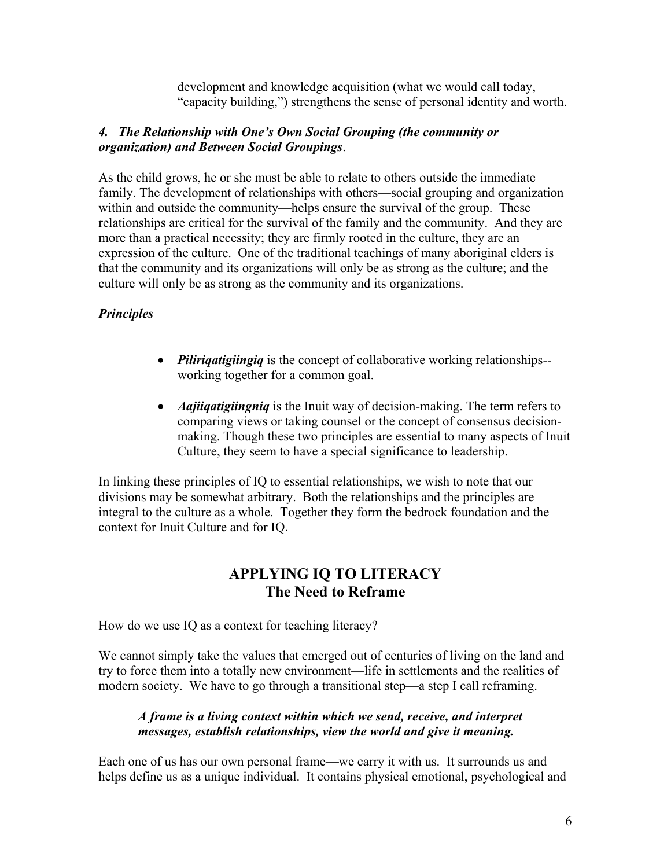development and knowledge acquisition (what we would call today, "capacity building,") strengthens the sense of personal identity and worth.

#### *4. The Relationship with One's Own Social Grouping (the community or organization) and Between Social Groupings*.

As the child grows, he or she must be able to relate to others outside the immediate family. The development of relationships with others—social grouping and organization within and outside the community—helps ensure the survival of the group. These relationships are critical for the survival of the family and the community. And they are more than a practical necessity; they are firmly rooted in the culture, they are an expression of the culture. One of the traditional teachings of many aboriginal elders is that the community and its organizations will only be as strong as the culture; and the culture will only be as strong as the community and its organizations.

### *Principles*

- *Piliriqatigiingiq* is the concept of collaborative working relationships- working together for a common goal.
- *Aajiiqatigiingniq* is the Inuit way of decision-making. The term refers to comparing views or taking counsel or the concept of consensus decisionmaking. Though these two principles are essential to many aspects of Inuit Culture, they seem to have a special significance to leadership.

In linking these principles of IQ to essential relationships, we wish to note that our divisions may be somewhat arbitrary. Both the relationships and the principles are integral to the culture as a whole. Together they form the bedrock foundation and the context for Inuit Culture and for IQ.

## **APPLYING IQ TO LITERACY The Need to Reframe**

How do we use IQ as a context for teaching literacy?

We cannot simply take the values that emerged out of centuries of living on the land and try to force them into a totally new environment—life in settlements and the realities of modern society. We have to go through a transitional step—a step I call reframing.

#### *A frame is a living context within which we send, receive, and interpret messages, establish relationships, view the world and give it meaning.*

Each one of us has our own personal frame—we carry it with us. It surrounds us and helps define us as a unique individual. It contains physical emotional, psychological and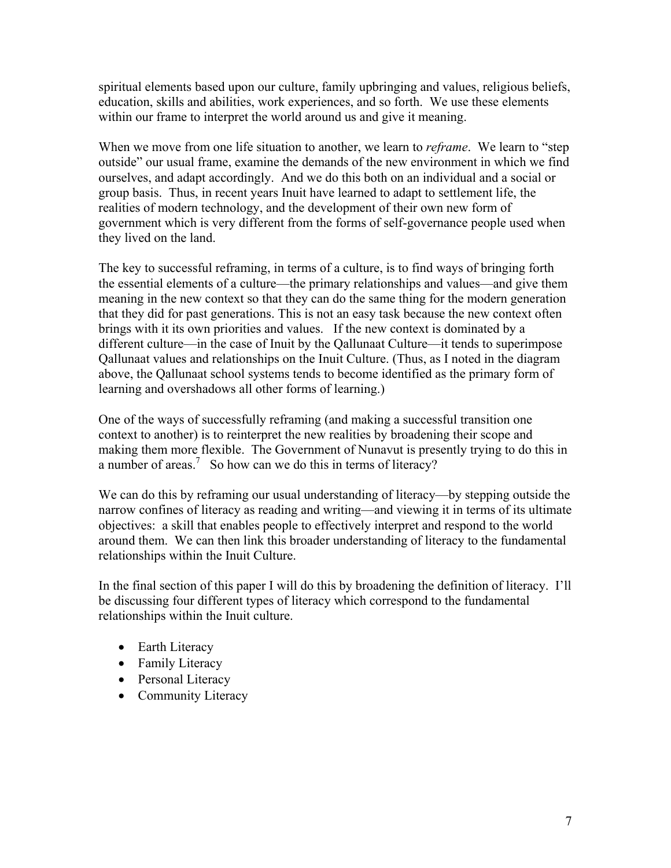spiritual elements based upon our culture, family upbringing and values, religious beliefs, education, skills and abilities, work experiences, and so forth. We use these elements within our frame to interpret the world around us and give it meaning.

When we move from one life situation to another, we learn to *reframe*. We learn to "step outside" our usual frame, examine the demands of the new environment in which we find ourselves, and adapt accordingly. And we do this both on an individual and a social or group basis. Thus, in recent years Inuit have learned to adapt to settlement life, the realities of modern technology, and the development of their own new form of government which is very different from the forms of self-governance people used when they lived on the land.

The key to successful reframing, in terms of a culture, is to find ways of bringing forth the essential elements of a culture—the primary relationships and values—and give them meaning in the new context so that they can do the same thing for the modern generation that they did for past generations. This is not an easy task because the new context often brings with it its own priorities and values. If the new context is dominated by a different culture—in the case of Inuit by the Qallunaat Culture—it tends to superimpose Qallunaat values and relationships on the Inuit Culture. (Thus, as I noted in the diagram above, the Qallunaat school systems tends to become identified as the primary form of learning and overshadows all other forms of learning.)

One of the ways of successfully reframing (and making a successful transition one context to another) is to reinterpret the new realities by broadening their scope and making them more flexible. The Government of Nunavut is presently trying to do this in a number of areas.<sup>7</sup> So how can we do this in terms of literacy?

We can do this by reframing our usual understanding of literacy—by stepping outside the narrow confines of literacy as reading and writing—and viewing it in terms of its ultimate objectives: a skill that enables people to effectively interpret and respond to the world around them. We can then link this broader understanding of literacy to the fundamental relationships within the Inuit Culture.

In the final section of this paper I will do this by broadening the definition of literacy. I'll be discussing four different types of literacy which correspond to the fundamental relationships within the Inuit culture.

- Earth Literacy
- Family Literacy
- Personal Literacy
- Community Literacy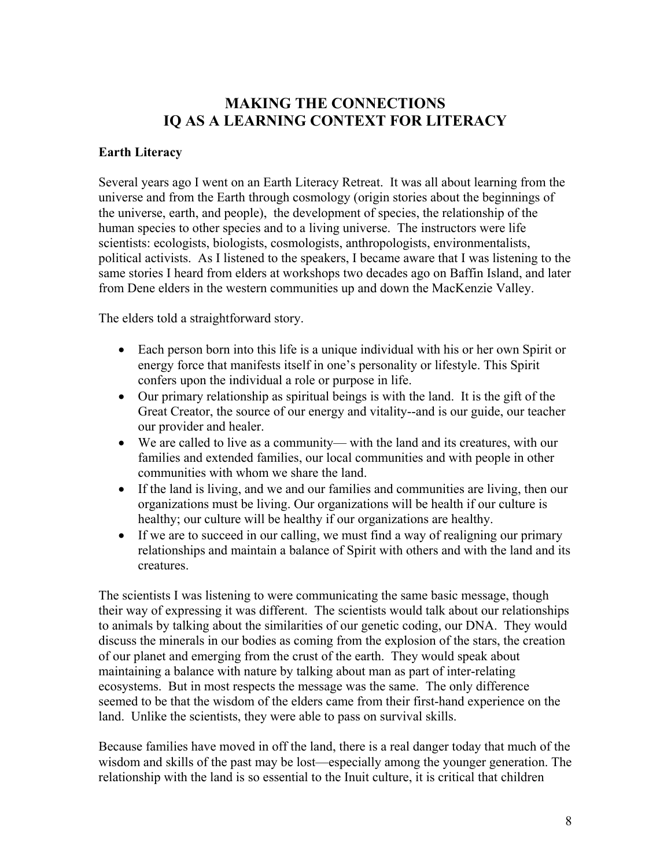### **MAKING THE CONNECTIONS IQ AS A LEARNING CONTEXT FOR LITERACY**

#### **Earth Literacy**

Several years ago I went on an Earth Literacy Retreat. It was all about learning from the universe and from the Earth through cosmology (origin stories about the beginnings of the universe, earth, and people), the development of species, the relationship of the human species to other species and to a living universe. The instructors were life scientists: ecologists, biologists, cosmologists, anthropologists, environmentalists, political activists. As I listened to the speakers, I became aware that I was listening to the same stories I heard from elders at workshops two decades ago on Baffin Island, and later from Dene elders in the western communities up and down the MacKenzie Valley.

The elders told a straightforward story.

- Each person born into this life is a unique individual with his or her own Spirit or energy force that manifests itself in one's personality or lifestyle. This Spirit confers upon the individual a role or purpose in life.
- Our primary relationship as spiritual beings is with the land. It is the gift of the Great Creator, the source of our energy and vitality--and is our guide, our teacher our provider and healer.
- We are called to live as a community— with the land and its creatures, with our families and extended families, our local communities and with people in other communities with whom we share the land.
- If the land is living, and we and our families and communities are living, then our organizations must be living. Our organizations will be health if our culture is healthy; our culture will be healthy if our organizations are healthy.
- If we are to succeed in our calling, we must find a way of realigning our primary relationships and maintain a balance of Spirit with others and with the land and its creatures.

The scientists I was listening to were communicating the same basic message, though their way of expressing it was different. The scientists would talk about our relationships to animals by talking about the similarities of our genetic coding, our DNA. They would discuss the minerals in our bodies as coming from the explosion of the stars, the creation of our planet and emerging from the crust of the earth. They would speak about maintaining a balance with nature by talking about man as part of inter-relating ecosystems. But in most respects the message was the same. The only difference seemed to be that the wisdom of the elders came from their first-hand experience on the land. Unlike the scientists, they were able to pass on survival skills.

Because families have moved in off the land, there is a real danger today that much of the wisdom and skills of the past may be lost—especially among the younger generation. The relationship with the land is so essential to the Inuit culture, it is critical that children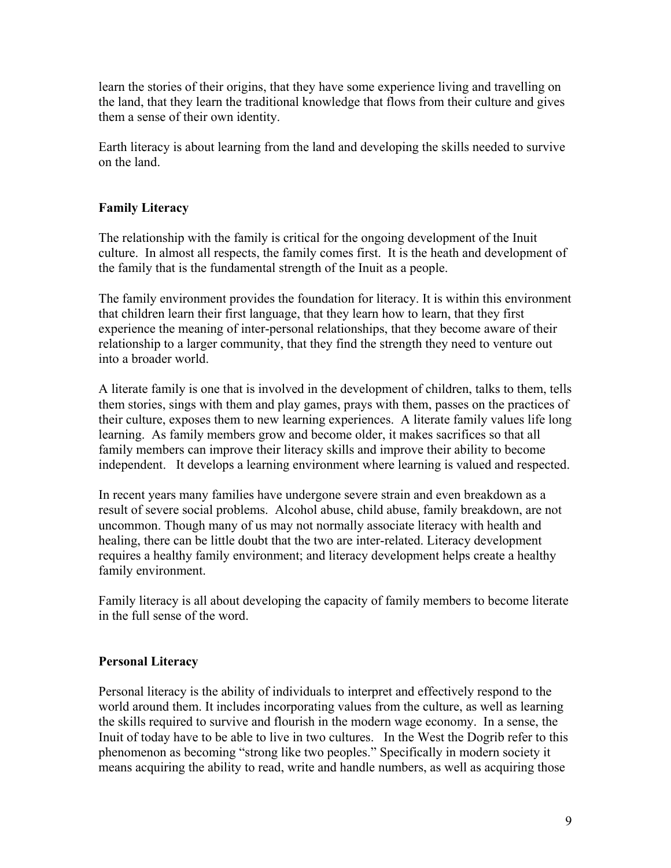learn the stories of their origins, that they have some experience living and travelling on the land, that they learn the traditional knowledge that flows from their culture and gives them a sense of their own identity.

Earth literacy is about learning from the land and developing the skills needed to survive on the land.

### **Family Literacy**

The relationship with the family is critical for the ongoing development of the Inuit culture. In almost all respects, the family comes first. It is the heath and development of the family that is the fundamental strength of the Inuit as a people.

The family environment provides the foundation for literacy. It is within this environment that children learn their first language, that they learn how to learn, that they first experience the meaning of inter-personal relationships, that they become aware of their relationship to a larger community, that they find the strength they need to venture out into a broader world.

A literate family is one that is involved in the development of children, talks to them, tells them stories, sings with them and play games, prays with them, passes on the practices of their culture, exposes them to new learning experiences. A literate family values life long learning. As family members grow and become older, it makes sacrifices so that all family members can improve their literacy skills and improve their ability to become independent. It develops a learning environment where learning is valued and respected.

In recent years many families have undergone severe strain and even breakdown as a result of severe social problems. Alcohol abuse, child abuse, family breakdown, are not uncommon. Though many of us may not normally associate literacy with health and healing, there can be little doubt that the two are inter-related. Literacy development requires a healthy family environment; and literacy development helps create a healthy family environment.

Family literacy is all about developing the capacity of family members to become literate in the full sense of the word.

#### **Personal Literacy**

Personal literacy is the ability of individuals to interpret and effectively respond to the world around them. It includes incorporating values from the culture, as well as learning the skills required to survive and flourish in the modern wage economy. In a sense, the Inuit of today have to be able to live in two cultures. In the West the Dogrib refer to this phenomenon as becoming "strong like two peoples." Specifically in modern society it means acquiring the ability to read, write and handle numbers, as well as acquiring those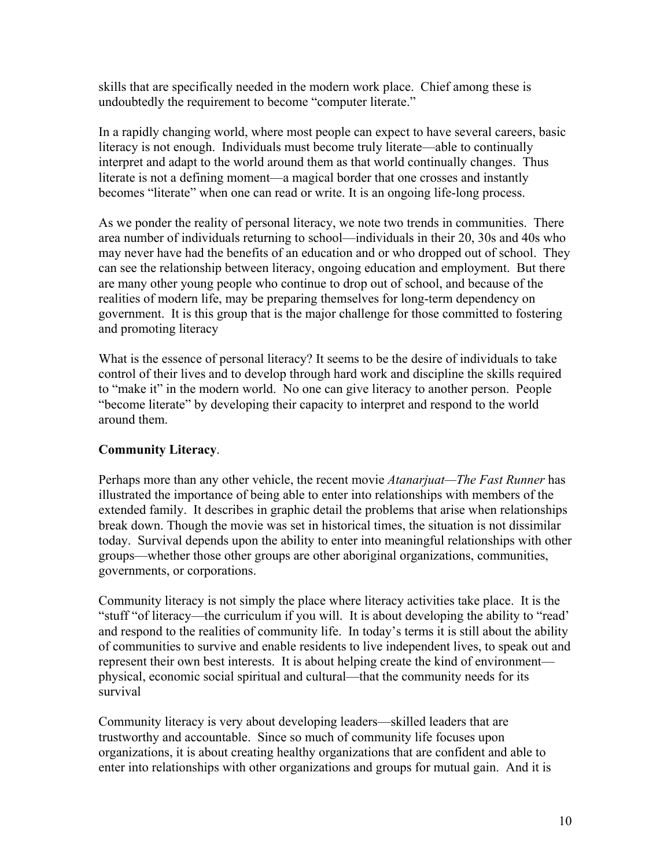skills that are specifically needed in the modern work place. Chief among these is undoubtedly the requirement to become "computer literate."

In a rapidly changing world, where most people can expect to have several careers, basic literacy is not enough. Individuals must become truly literate—able to continually interpret and adapt to the world around them as that world continually changes. Thus literate is not a defining moment—a magical border that one crosses and instantly becomes "literate" when one can read or write. It is an ongoing life-long process.

As we ponder the reality of personal literacy, we note two trends in communities. There area number of individuals returning to school—individuals in their 20, 30s and 40s who may never have had the benefits of an education and or who dropped out of school. They can see the relationship between literacy, ongoing education and employment. But there are many other young people who continue to drop out of school, and because of the realities of modern life, may be preparing themselves for long-term dependency on government. It is this group that is the major challenge for those committed to fostering and promoting literacy

What is the essence of personal literacy? It seems to be the desire of individuals to take control of their lives and to develop through hard work and discipline the skills required to "make it" in the modern world. No one can give literacy to another person. People "become literate" by developing their capacity to interpret and respond to the world around them.

### **Community Literacy**.

Perhaps more than any other vehicle, the recent movie *Atanarjuat—The Fast Runner* has illustrated the importance of being able to enter into relationships with members of the extended family. It describes in graphic detail the problems that arise when relationships break down. Though the movie was set in historical times, the situation is not dissimilar today. Survival depends upon the ability to enter into meaningful relationships with other groups—whether those other groups are other aboriginal organizations, communities, governments, or corporations.

Community literacy is not simply the place where literacy activities take place. It is the "stuff "of literacy—the curriculum if you will. It is about developing the ability to "read' and respond to the realities of community life. In today's terms it is still about the ability of communities to survive and enable residents to live independent lives, to speak out and represent their own best interests. It is about helping create the kind of environment physical, economic social spiritual and cultural—that the community needs for its survival

Community literacy is very about developing leaders—skilled leaders that are trustworthy and accountable. Since so much of community life focuses upon organizations, it is about creating healthy organizations that are confident and able to enter into relationships with other organizations and groups for mutual gain. And it is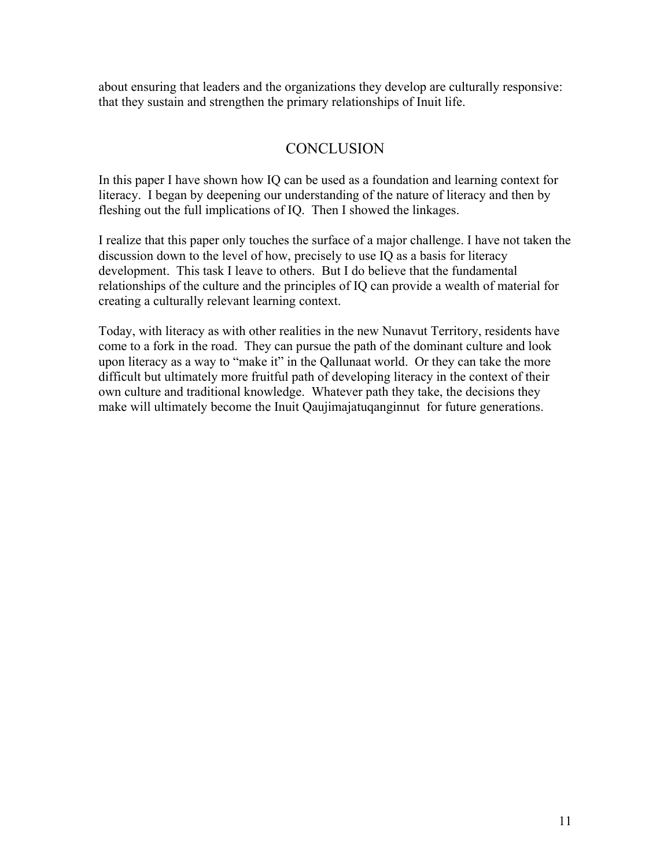about ensuring that leaders and the organizations they develop are culturally responsive: that they sustain and strengthen the primary relationships of Inuit life.

## **CONCLUSION**

In this paper I have shown how IQ can be used as a foundation and learning context for literacy. I began by deepening our understanding of the nature of literacy and then by fleshing out the full implications of IQ. Then I showed the linkages.

I realize that this paper only touches the surface of a major challenge. I have not taken the discussion down to the level of how, precisely to use IQ as a basis for literacy development. This task I leave to others. But I do believe that the fundamental relationships of the culture and the principles of IQ can provide a wealth of material for creating a culturally relevant learning context.

Today, with literacy as with other realities in the new Nunavut Territory, residents have come to a fork in the road. They can pursue the path of the dominant culture and look upon literacy as a way to "make it" in the Qallunaat world. Or they can take the more difficult but ultimately more fruitful path of developing literacy in the context of their own culture and traditional knowledge. Whatever path they take, the decisions they make will ultimately become the Inuit Qaujimajatuqanginnut for future generations.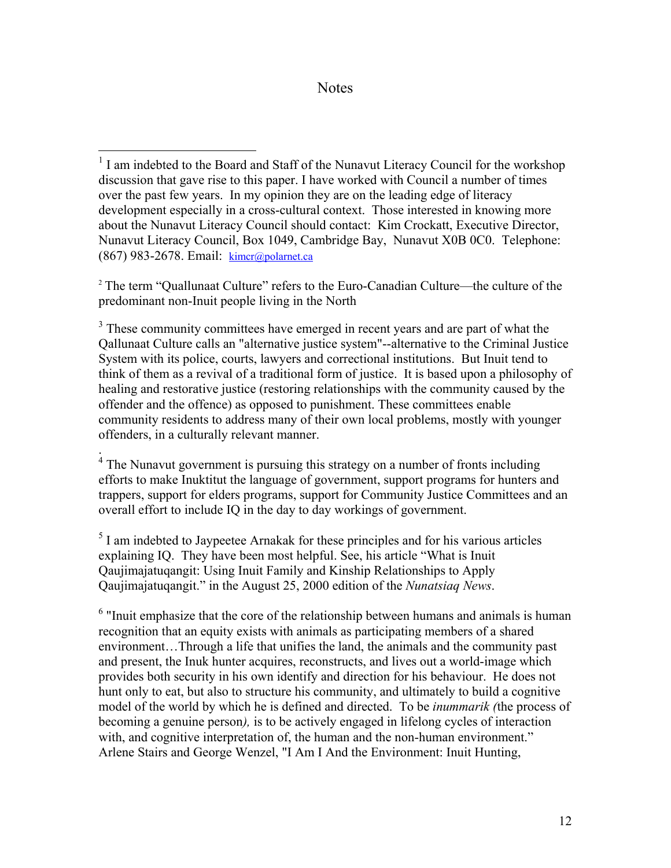#### **Notes**

 $\overline{a}$ 

<sup>2</sup> The term "Quallunaat Culture" refers to the Euro-Canadian Culture—the culture of the predominant non-Inuit people living in the North

<sup>3</sup> These community committees have emerged in recent years and are part of what the Qallunaat Culture calls an "alternative justice system"--alternative to the Criminal Justice System with its police, courts, lawyers and correctional institutions. But Inuit tend to think of them as a revival of a traditional form of justice. It is based upon a philosophy of healing and restorative justice (restoring relationships with the community caused by the offender and the offence) as opposed to punishment. These committees enable community residents to address many of their own local problems, mostly with younger offenders, in a culturally relevant manner.

. 4 The Nunavut government is pursuing this strategy on a number of fronts including efforts to make Inuktitut the language of government, support programs for hunters and trappers, support for elders programs, support for Community Justice Committees and an overall effort to include IQ in the day to day workings of government.

 $<sup>5</sup>$  I am indebted to Jaypeetee Arnakak for these principles and for his various articles</sup> explaining IQ. They have been most helpful. See, his article "What is Inuit Qaujimajatuqangit: Using Inuit Family and Kinship Relationships to Apply Qaujimajatuqangit." in the August 25, 2000 edition of the *Nunatsiaq News*.

<sup>6</sup> "Inuit emphasize that the core of the relationship between humans and animals is human recognition that an equity exists with animals as participating members of a shared environment…Through a life that unifies the land, the animals and the community past and present, the Inuk hunter acquires, reconstructs, and lives out a world-image which provides both security in his own identify and direction for his behaviour. He does not hunt only to eat, but also to structure his community, and ultimately to build a cognitive model of the world by which he is defined and directed. To be *inummarik (*the process of becoming a genuine person*),* is to be actively engaged in lifelong cycles of interaction with, and cognitive interpretation of, the human and the non-human environment." Arlene Stairs and George Wenzel, "I Am I And the Environment: Inuit Hunting,

<sup>&</sup>lt;sup>1</sup> I am indebted to the Board and Staff of the Nunavut Literacy Council for the workshop discussion that gave rise to this paper. I have worked with Council a number of times over the past few years. In my opinion they are on the leading edge of literacy development especially in a cross-cultural context. Those interested in knowing more about the Nunavut Literacy Council should contact: Kim Crockatt, Executive Director, Nunavut Literacy Council, Box 1049, Cambridge Bay, Nunavut X0B 0C0. Telephone: (867) 983-2678. Email: [kimcr@polarnet.ca](mailto:kimcr@polarnet.ca)